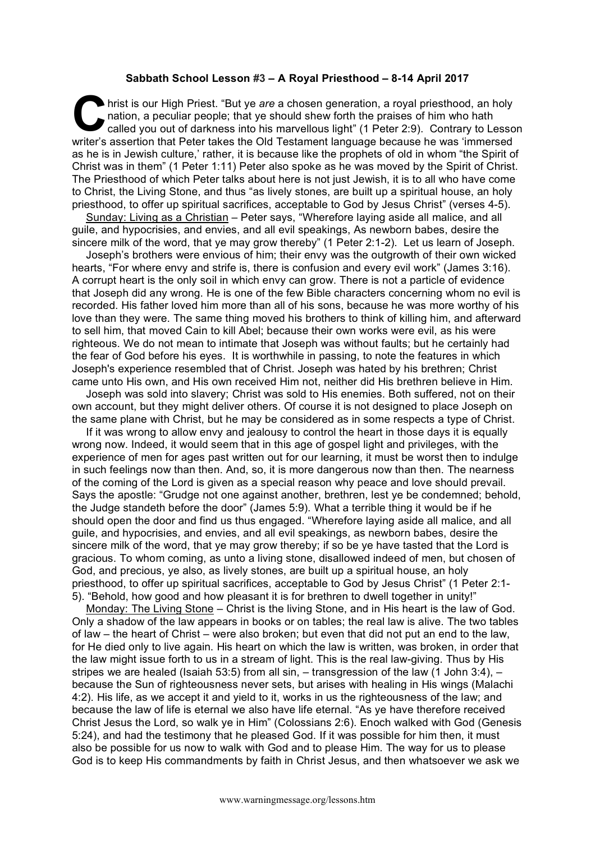## **Sabbath School Lesson #3 – A Royal Priesthood – 8-14 April 2017**

hrist is our High Priest. "But ye *are* a chosen generation, a royal priesthood, an holy nation, a peculiar people; that ye should shew forth the praises of him who hath called you out of darkness into his marvellous light nation, a peculiar people; that ye should shew forth the praises of him who hath called you out of darkness into his marvellous light" (1 Peter 2:9). Contrary to Lesson writer's assertion that Peter takes the Old Testament language because he was 'immersed as he is in Jewish culture,' rather, it is because like the prophets of old in whom "the Spirit of Christ was in them" (1 Peter 1:11) Peter also spoke as he was moved by the Spirit of Christ. The Priesthood of which Peter talks about here is not just Jewish, it is to all who have come to Christ, the Living Stone, and thus "as lively stones, are built up a spiritual house, an holy priesthood, to offer up spiritual sacrifices, acceptable to God by Jesus Christ" (verses 4-5).

Sunday: Living as a Christian – Peter says, "Wherefore laying aside all malice, and all guile, and hypocrisies, and envies, and all evil speakings, As newborn babes, desire the sincere milk of the word, that ye may grow thereby" (1 Peter 2:1-2). Let us learn of Joseph.

Joseph's brothers were envious of him; their envy was the outgrowth of their own wicked hearts, "For where envy and strife is, there is confusion and every evil work" (James 3:16). A corrupt heart is the only soil in which envy can grow. There is not a particle of evidence that Joseph did any wrong. He is one of the few Bible characters concerning whom no evil is recorded. His father loved him more than all of his sons, because he was more worthy of his love than they were. The same thing moved his brothers to think of killing him, and afterward to sell him, that moved Cain to kill Abel; because their own works were evil, as his were righteous. We do not mean to intimate that Joseph was without faults; but he certainly had the fear of God before his eyes. It is worthwhile in passing, to note the features in which Joseph's experience resembled that of Christ. Joseph was hated by his brethren; Christ came unto His own, and His own received Him not, neither did His brethren believe in Him.

Joseph was sold into slavery; Christ was sold to His enemies. Both suffered, not on their own account, but they might deliver others. Of course it is not designed to place Joseph on the same plane with Christ, but he may be considered as in some respects a type of Christ.

If it was wrong to allow envy and jealousy to control the heart in those days it is equally wrong now. Indeed, it would seem that in this age of gospel light and privileges, with the experience of men for ages past written out for our learning, it must be worst then to indulge in such feelings now than then. And, so, it is more dangerous now than then. The nearness of the coming of the Lord is given as a special reason why peace and love should prevail. Says the apostle: "Grudge not one against another, brethren, lest ye be condemned; behold, the Judge standeth before the door" (James 5:9). What a terrible thing it would be if he should open the door and find us thus engaged. "Wherefore laying aside all malice, and all guile, and hypocrisies, and envies, and all evil speakings, as newborn babes, desire the sincere milk of the word, that ye may grow thereby; if so be ye have tasted that the Lord is gracious. To whom coming, as unto a living stone, disallowed indeed of men, but chosen of God, and precious, ye also, as lively stones, are built up a spiritual house, an holy priesthood, to offer up spiritual sacrifices, acceptable to God by Jesus Christ" (1 Peter 2:1- 5). "Behold, how good and how pleasant it is for brethren to dwell together in unity!"

Monday: The Living Stone – Christ is the living Stone, and in His heart is the law of God. Only a shadow of the law appears in books or on tables; the real law is alive. The two tables of law – the heart of Christ – were also broken; but even that did not put an end to the law, for He died only to live again. His heart on which the law is written, was broken, in order that the law might issue forth to us in a stream of light. This is the real law-giving. Thus by His stripes we are healed (Isaiah 53:5) from all sin,  $-$  transgression of the law (1 John 3:4),  $$ because the Sun of righteousness never sets, but arises with healing in His wings (Malachi 4:2). His life, as we accept it and yield to it, works in us the righteousness of the law; and because the law of life is eternal we also have life eternal. "As ye have therefore received Christ Jesus the Lord, so walk ye in Him" (Colossians 2:6). Enoch walked with God (Genesis 5:24), and had the testimony that he pleased God. If it was possible for him then, it must also be possible for us now to walk with God and to please Him. The way for us to please God is to keep His commandments by faith in Christ Jesus, and then whatsoever we ask we